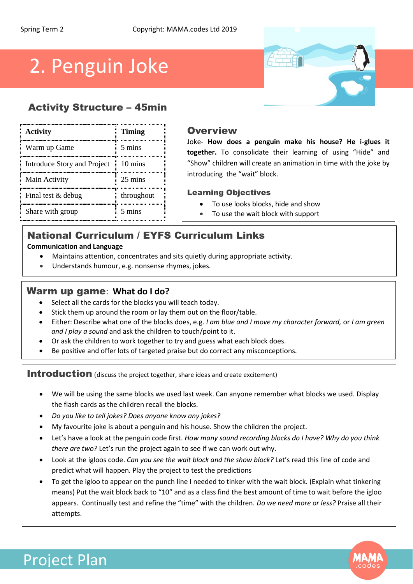# 2. Penguin Joke

# Activity Structure – 45min

| Activity                    | <b>Timing</b>     |
|-----------------------------|-------------------|
| Warm up Game                | 5 mins            |
| Introduce Story and Project | $10 \text{ mins}$ |
| Main Activity               | 25 mins           |
| Final test & debug          | throughout        |
| Share with group            | 5 mins            |

## **Overview**

Joke- **How does a penguin make his house? He i-glues it together.** To consolidate their learning of using "Hide" and "Show" children will create an animation in time with the joke by introducing the "wait" block.

#### Learning Objectives

- To use looks blocks, hide and show
- To use the wait block with support

# National Curriculum / EYFS Curriculum Links

#### **Communication and Language**

- Maintains attention, concentrates and sits quietly during appropriate activity.
- Understands humour, e.g. nonsense rhymes, jokes.

## Warm up game: **What do I do?**

- Select all the cards for the blocks you will teach today.
- Stick them up around the room or lay them out on the floor/table.
- Either: Describe what one of the blocks does, e.g. *I am blue and I move my character forward,* or *I am green and I play a sound* and ask the children to touch/point to it.
- Or ask the children to work together to try and guess what each block does.
- Be positive and offer lots of targeted praise but do correct any misconceptions.

Introduction (discuss the project together, share ideas and create excitement)

- We will be using the same blocks we used last week. Can anyone remember what blocks we used. Display the flash cards as the children recall the blocks.
- *Do you like to tell jokes? Does anyone know any jokes?*
- My favourite joke is about a penguin and his house. Show the children the project.
- Let's have a look at the penguin code first. *How many sound recording blocks do I have? Why do you think there are two?* Let's run the project again to see if we can work out why.
- Look at the igloos code. *Can you see the wait block and the show block?* Let's read this line of code and predict what will happen*.* Play the project to test the predictions
- To get the igloo to appear on the punch line I needed to tinker with the wait block. (Explain what tinkering means) Put the wait block back to "10" and as a class find the best amount of time to wait before the igloo appears. Continually test and refine the "time" with the children. *Do we need more or less?* Praise all their attempts.



# Project Plan